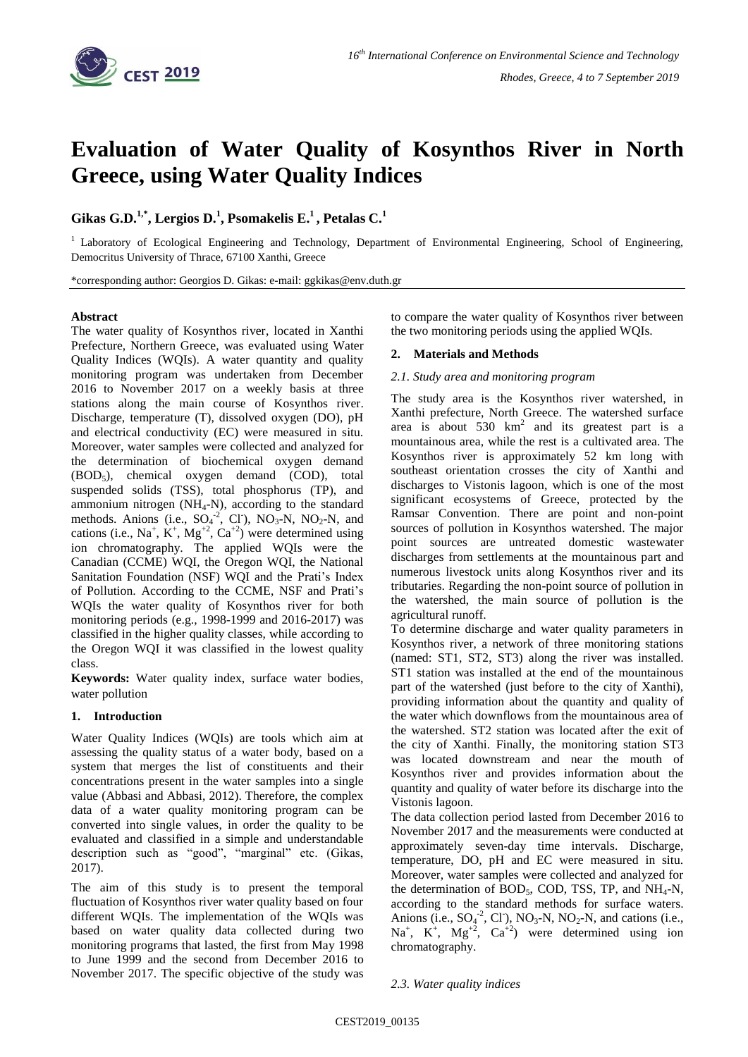

# **Evaluation of Water Quality of Kosynthos River in North Greece, using Water Quality Indices**

# **Gikas G.D.1,\*, Lergios D.<sup>1</sup> , Psomakelis E.<sup>1</sup> , Petalas C.<sup>1</sup>**

<sup>1</sup> Laboratory of Ecological Engineering and Technology, Department of Environmental Engineering, School of Engineering, Democritus University of Thrace, 67100 Xanthi, Greece

\*corresponding author: Georgios D. Gikas: e-mail: ggkikas@env.duth.gr

### **Abstract**

The water quality of Kosynthos river, located in Xanthi Prefecture, Northern Greece, was evaluated using Water Quality Indices (WQIs). A water quantity and quality monitoring program was undertaken from December 2016 to November 2017 on a weekly basis at three stations along the main course of Kosynthos river. Discharge, temperature (T), dissolved oxygen (DO), pH and electrical conductivity (EC) were measured in situ. Moreover, water samples were collected and analyzed for the determination of biochemical oxygen demand (BOD5), chemical oxygen demand (COD), total suspended solids (TSS), total phosphorus (TP), and ammonium nitrogen  $(NH_4-N)$ , according to the standard methods. Anions (i.e.,  $SO_4^{-2}$ , Cl ), NO<sub>3</sub>-N, NO<sub>2</sub>-N, and cations (i.e.,  $Na^+$ ,  $K^+$ ,  $Mg^{+2}$ ,  $Ca^{+2}$ ) were determined using ion chromatography. The applied WQIs were the Canadian (CCME) WQI, the Oregon WQI, the National Sanitation Foundation (NSF) WQI and the Prati's Index of Pollution. According to the CCME, NSF and Prati's WQIs the water quality of Kosynthos river for both monitoring periods (e.g., 1998-1999 and 2016-2017) was classified in the higher quality classes, while according to the Oregon WQI it was classified in the lowest quality class.

**Keywords:** Water quality index, surface water bodies, water pollution

# **1. Introduction**

Water Quality Indices (WQIs) are tools which aim at assessing the quality status of a water body, based on a system that merges the list of constituents and their concentrations present in the water samples into a single value (Abbasi and Abbasi, 2012). Therefore, the complex data of a water quality monitoring program can be converted into single values, in order the quality to be evaluated and classified in a simple and understandable description such as "good", "marginal" etc. (Gikas, 2017).

The aim of this study is to present the temporal fluctuation of Kosynthos river water quality based on four different WQIs. The implementation of the WQIs was based on water quality data collected during two monitoring programs that lasted, the first from May 1998 to June 1999 and the second from December 2016 to November 2017. The specific objective of the study was to compare the water quality of Kosynthos river between the two monitoring periods using the applied WQIs.

## **2. Materials and Methods**

#### *2.1. Study area and monitoring program*

The study area is the Kosynthos river watershed, in Xanthi prefecture, North Greece. The watershed surface area is about  $530 \text{ km}^2$  and its greatest part is a mountainous area, while the rest is a cultivated area. The Kosynthos river is approximately 52 km long with southeast orientation crosses the city of Xanthi and discharges to Vistonis lagoon, which is one of the most significant ecosystems of Greece, protected by the Ramsar Convention. There are point and non-point sources of pollution in Kosynthos watershed. The major point sources are untreated domestic wastewater discharges from settlements at the mountainous part and numerous livestock units along Kosynthos river and its tributaries. Regarding the non-point source of pollution in the watershed, the main source of pollution is the agricultural runoff.

To determine discharge and water quality parameters in Kosynthos river, a network of three monitoring stations (named: ST1, ST2, ST3) along the river was installed. ST1 station was installed at the end of the mountainous part of the watershed (just before to the city of Xanthi). providing information about the quantity and quality of the water which downflows from the mountainous area of the watershed. ST2 station was located after the exit of the city of Xanthi. Finally, the monitoring station ST3 was located downstream and near the mouth of Kosynthos river and provides information about the quantity and quality of water before its discharge into the Vistonis lagoon.

The data collection period lasted from December 2016 to November 2017 and the measurements were conducted at approximately seven-day time intervals. Discharge, temperature, DO, pH and EC were measured in situ. Moreover, water samples were collected and analyzed for the determination of  $BOD_5$ , COD, TSS, TP, and NH<sub>4</sub>-N, according to the standard methods for surface waters. Anions (i.e.,  $SO_4^{-2}$ , Cl<sup>-</sup>), NO<sub>3</sub>-N, NO<sub>2</sub>-N, and cations (i.e.,  $\text{Na}^+$ ,  $\text{K}^+$ ,  $\text{Mg}^{+2}$ ,  $\text{Ca}^{+2}$ ) were determined using ion chromatography.

#### *2.3. Water quality indices*